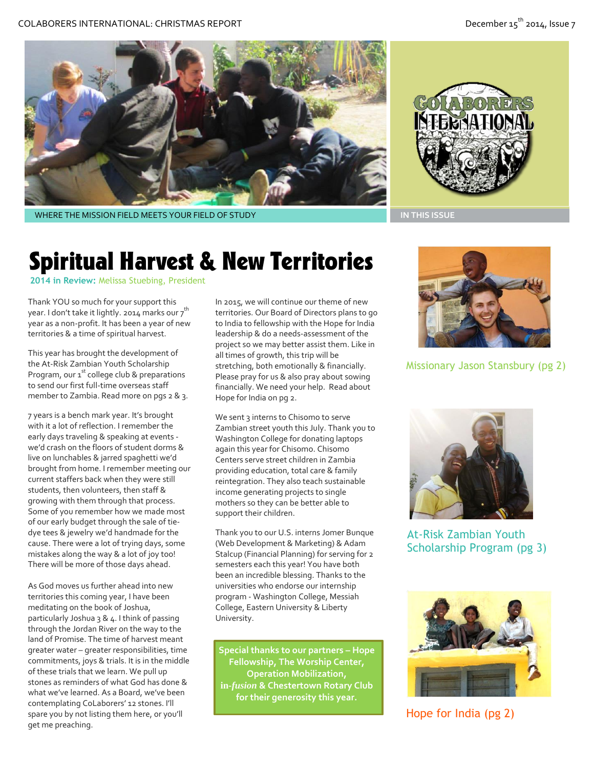

WHERE THE MISSION FIELD MEETS YOUR FIELD OF STUDY **IN THIS ISSUE AND IN THIS ISSUE** 



## Spiritual Harvest & New Territories

**2014 in Review:** Melissa Stuebing, President

Thank YOU so much for your support this year. I don't take it lightly. 2014 marks our 7<sup>th</sup> year as a non-profit. It has been a year of new territories & a time of spiritual harvest.

This year has brought the development of the At-Risk Zambian Youth Scholarship Program, our 1<sup>st</sup> college club & preparations to send our first full-time overseas staff member to Zambia. Read more on pgs 2 & 3.

7 years is a bench mark year. It's brought with it a lot of reflection. I remember the early days traveling & speaking at events we'd crash on the floors of student dorms & live on lunchables & jarred spaghetti we'd brought from home. I remember meeting our current staffers back when they were still students, then volunteers, then staff & growing with them through that process. Some of you remember how we made most of our early budget through the sale of tiedye tees & jewelry we'd handmade for the cause. There were a lot of trying days, some mistakes along the way & a lot of joy too! There will be more of those days ahead.

As God moves us further ahead into new territories this coming year, I have been meditating on the book of Joshua, particularly Joshua 3 & 4. I think of passing through the Jordan River on the way to the land of Promise. The time of harvest meant greater water – greater responsibilities, time commitments, joys & trials. It is in the middle of these trials that we learn. We pull up stones as reminders of what God has done & what we've learned. As a Board, we've been contemplating CoLaborers' 12 stones. I'll spare you by not listing them here, or you'll get me preaching.

In 2015, we will continue our theme of new territories. Our Board of Directors plans to go to India to fellowship with the Hope for India leadership & do a needs-assessment of the project so we may better assist them. Like in all times of growth, this trip will be stretching, both emotionally & financially. Please pray for us & also pray about sowing financially. We need your help. Read about Hope for India on pg 2.

We sent 3 interns to Chisomo to serve Zambian street youth this July. Thank you to Washington College for donating laptops again this year for Chisomo. Chisomo Centers serve street children in Zambia providing education, total care & family reintegration. They also teach sustainable income generating projects to single mothers so they can be better able to support their children.

Thank you to our U.S. interns Jomer Bunque (Web Development & Marketing) & Adam Stalcup (Financial Planning) for serving for 2 semesters each this year! You have both been an incredible blessing. Thanks to the universities who endorse our internship program - Washington College, Messiah College, Eastern University & Liberty University.

**Special thanks to our partners – Hope Fellowship, The Worship Center, Operation Mobilization, in-***fusion* **& Chestertown Rotary Club for their generosity this year.**



Missionary Jason Stansbury (pg 2)



At-Risk Zambian Youth Scholarship Program (pg 3)



Hope for India (pg 2)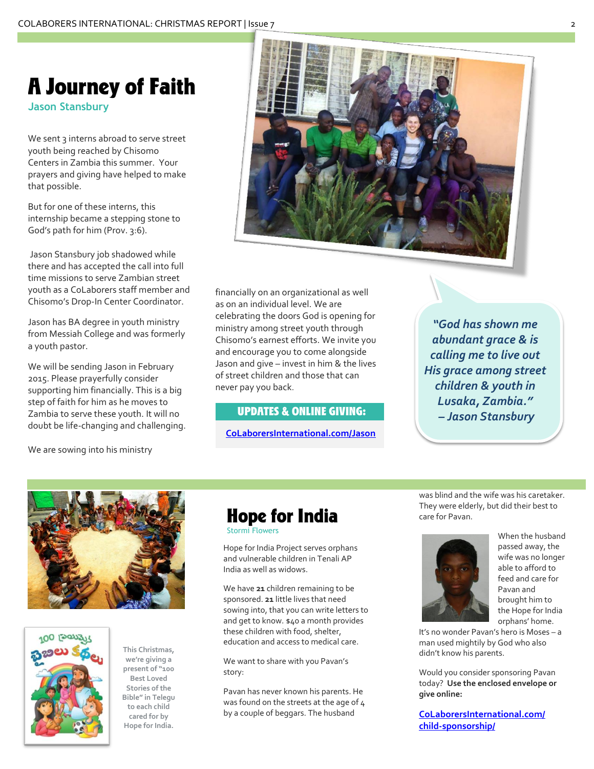### A Journey of Faith

**Jason Stansbury**

We sent 3 interns abroad to serve street youth being reached by Chisomo Centers in Zambia this summer. Your prayers and giving have helped to make that possible.

But for one of these interns, this internship became a stepping stone to God's path for him (Prov. 3:6).

Jason Stansbury job shadowed while there and has accepted the call into full time missions to serve Zambian street youth as a CoLaborers staff member and Chisomo's Drop-In Center Coordinator.

Jason has BA degree in youth ministry from Messiah College and was formerly a youth pastor.

We will be sending Jason in February 2015. Please prayerfully consider supporting him financially. This is a big step of faith for him as he moves to Zambia to serve these youth. It will no doubt be life-changing and challenging.

financially on an organizational as well as on an individual level. We are celebrating the doors God is opening for ministry among street youth through Chisomo's earnest efforts. We invite you and encourage you to come alongside Jason and give – invest in him & the lives of street children and those that can never pay you back.

#### UPDATES & ONLINE GIVING:

**CoLaborersInternational.com/Jason**

*"God has shown me abundant grace & is calling me to live out His grace among street children & youth in Lusaka, Zambia." – Jason Stansbury*

We are sowing into his ministry





**This Christmas, we're giving a present of "100 Best Loved Stories of the Bible" in Telegu to each child cared for by Hope for India.**

### Hope for India

Stormi Flowers

Hope for India Project serves orphans and vulnerable children in Tenali AP India as well as widows.

We have **21** children remaining to be sponsored. **21** little lives that need sowing into, that you can write letters to and get to know. \$40 a month provides these children with food, shelter, education and access to medical care.

We want to share with you Pavan's story:

Pavan has never known his parents. He was found on the streets at the age of 4 by a couple of beggars. The husband

was blind and the wife was his caretaker. They were elderly, but did their best to care for Pavan.



When the husband passed away, the wife was no longer able to afford to feed and care for Pavan and brought him to the Hope for India orphans' home.

It's no wonder Pavan's hero is Moses – a man used mightily by God who also didn't know his parents.

Would you consider sponsoring Pavan today? **Use the enclosed envelope or give online:**

**[CoLaborersInternational.com/](http://colaborersinternational.com/child-sponsorship/) [child-sponsorship/](http://colaborersinternational.com/child-sponsorship/)**